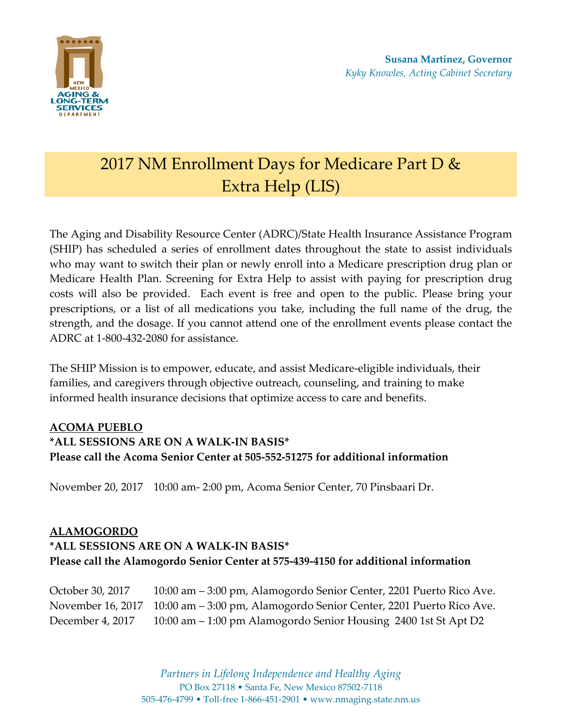

# 2017 NM Enrollment Days for Medicare Part D & Extra Help (LIS)

The Aging and Disability Resource Center (ADRC)/State Health Insurance Assistance Program (SHIP) has scheduled a series of enrollment dates throughout the state to assist individuals who may want to switch their plan or newly enroll into a Medicare prescription drug plan or Medicare Health Plan. Screening for Extra Help to assist with paying for prescription drug costs will also be provided. Each event is free and open to the public. Please bring your prescriptions, or a list of all medications you take, including the full name of the drug, the strength, and the dosage. If you cannot attend one of the enrollment events please contact the ADRC at 1-800-432-2080 for assistance.

The SHIP Mission is to empower, educate, and assist Medicare-eligible individuals, their families, and caregivers through objective outreach, counseling, and training to make informed health insurance decisions that optimize access to care and benefits.

### **ACOMA PUEBLO**

# **\*ALL SESSIONS ARE ON A WALK-IN BASIS\* Please call the Acoma Senior Center at 505-552-51275 for additional information**

November 20, 2017 10:00 am- 2:00 pm, Acoma Senior Center, 70 Pinsbaari Dr.

### **ALAMOGORDO**

# **\*ALL SESSIONS ARE ON A WALK-IN BASIS\* Please call the Alamogordo Senior Center at 575-439-4150 for additional information**

October 30, 2017 10:00 am – 3:00 pm, Alamogordo Senior Center, 2201 Puerto Rico Ave. November 16, 2017 10:00 am – 3:00 pm, Alamogordo Senior Center, 2201 Puerto Rico Ave. December 4, 2017 10:00 am – 1:00 pm Alamogordo Senior Housing 2400 1st St Apt D2

> *Partners in Lifelong Independence and Healthy Aging* PO Box 27118 • Santa Fe, New Mexico 87502-7118 505-476-4799 • Toll-free 1-866-451-2901 • www.nmaging.state.nm.us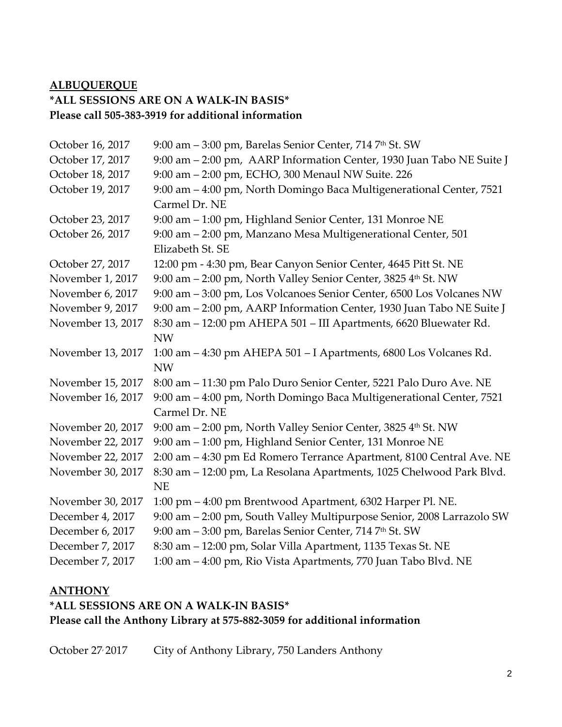# **ALBUQUERQUE \*ALL SESSIONS ARE ON A WALK-IN BASIS\* Please call 505-383-3919 for additional information**

| October 16, 2017  | 9:00 am - 3:00 pm, Barelas Senior Center, 714 7th St. SW               |
|-------------------|------------------------------------------------------------------------|
| October 17, 2017  | 9:00 am - 2:00 pm, AARP Information Center, 1930 Juan Tabo NE Suite J  |
| October 18, 2017  | 9:00 am - 2:00 pm, ECHO, 300 Menaul NW Suite. 226                      |
| October 19, 2017  | 9:00 am - 4:00 pm, North Domingo Baca Multigenerational Center, 7521   |
|                   | Carmel Dr. NE                                                          |
| October 23, 2017  | 9:00 am - 1:00 pm, Highland Senior Center, 131 Monroe NE               |
| October 26, 2017  | 9:00 am - 2:00 pm, Manzano Mesa Multigenerational Center, 501          |
|                   | Elizabeth St. SE                                                       |
| October 27, 2017  | 12:00 pm - 4:30 pm, Bear Canyon Senior Center, 4645 Pitt St. NE        |
| November 1, 2017  | 9:00 am - 2:00 pm, North Valley Senior Center, 3825 4th St. NW         |
| November 6, 2017  | 9:00 am - 3:00 pm, Los Volcanoes Senior Center, 6500 Los Volcanes NW   |
| November 9, 2017  | 9:00 am - 2:00 pm, AARP Information Center, 1930 Juan Tabo NE Suite J  |
| November 13, 2017 | 8:30 am - 12:00 pm AHEPA 501 - III Apartments, 6620 Bluewater Rd.      |
|                   | <b>NW</b>                                                              |
| November 13, 2017 | 1:00 am - 4:30 pm AHEPA 501 - I Apartments, 6800 Los Volcanes Rd.      |
|                   | <b>NW</b>                                                              |
| November 15, 2017 | 8:00 am - 11:30 pm Palo Duro Senior Center, 5221 Palo Duro Ave. NE     |
| November 16, 2017 | 9:00 am - 4:00 pm, North Domingo Baca Multigenerational Center, 7521   |
|                   | Carmel Dr. NE                                                          |
| November 20, 2017 | 9:00 am - 2:00 pm, North Valley Senior Center, 3825 4th St. NW         |
| November 22, 2017 | 9:00 am - 1:00 pm, Highland Senior Center, 131 Monroe NE               |
| November 22, 2017 | 2:00 am - 4:30 pm Ed Romero Terrance Apartment, 8100 Central Ave. NE   |
| November 30, 2017 | 8:30 am - 12:00 pm, La Resolana Apartments, 1025 Chelwood Park Blvd.   |
|                   | <b>NE</b>                                                              |
| November 30, 2017 | 1:00 pm – 4:00 pm Brentwood Apartment, 6302 Harper Pl. NE.             |
| December 4, 2017  | 9:00 am - 2:00 pm, South Valley Multipurpose Senior, 2008 Larrazolo SW |
| December 6, 2017  | 9:00 am - 3:00 pm, Barelas Senior Center, 714 7th St. SW               |
| December 7, 2017  | 8:30 am - 12:00 pm, Solar Villa Apartment, 1135 Texas St. NE           |
| December 7, 2017  | 1:00 am - 4:00 pm, Rio Vista Apartments, 770 Juan Tabo Blvd. NE        |

### **ANTHONY**

# **\*ALL SESSIONS ARE ON A WALK-IN BASIS\* Please call the Anthony Library at 575-882-3059 for additional information**

October 27<sup>,</sup> 2017 City of Anthony Library, 750 Landers Anthony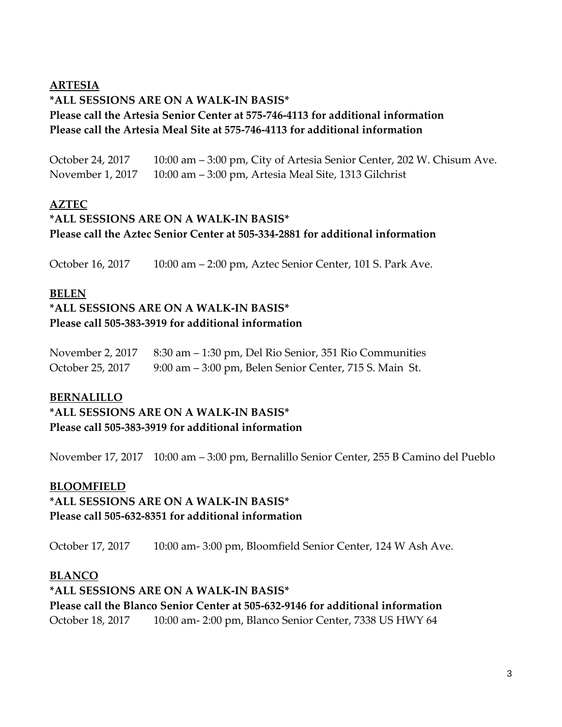### **ARTESIA**

# **\*ALL SESSIONS ARE ON A WALK-IN BASIS\* Please call the Artesia Senior Center at 575-746-4113 for additional information Please call the Artesia Meal Site at 575-746-4113 for additional information**

October 24, 2017 10:00 am – 3:00 pm, City of Artesia Senior Center, 202 W. Chisum Ave. November 1, 2017 10:00 am – 3:00 pm, Artesia Meal Site, 1313 Gilchrist

# **AZTEC**

# **\*ALL SESSIONS ARE ON A WALK-IN BASIS\* Please call the Aztec Senior Center at 505-334-2881 for additional information**

October 16, 2017 10:00 am – 2:00 pm, Aztec Senior Center, 101 S. Park Ave.

### **BELEN**

# **\*ALL SESSIONS ARE ON A WALK-IN BASIS\* Please call 505-383-3919 for additional information**

| November 2, 2017 | 8:30 am – 1:30 pm, Del Rio Senior, 351 Rio Communities  |
|------------------|---------------------------------------------------------|
| October 25, 2017 | 9:00 am – 3:00 pm, Belen Senior Center, 715 S. Main St. |

### **BERNALILLO**

**\*ALL SESSIONS ARE ON A WALK-IN BASIS\* Please call 505-383-3919 for additional information**

November 17, 2017 10:00 am – 3:00 pm, Bernalillo Senior Center, 255 B Camino del Pueblo

### **BLOOMFIELD**

### **\*ALL SESSIONS ARE ON A WALK-IN BASIS\* Please call 505-632-8351 for additional information**

October 17, 2017 10:00 am- 3:00 pm, Bloomfield Senior Center, 124 W Ash Ave.

### **BLANCO**

# **\*ALL SESSIONS ARE ON A WALK-IN BASIS\* Please call the Blanco Senior Center at 505-632-9146 for additional information** October 18, 2017 10:00 am- 2:00 pm, Blanco Senior Center, 7338 US HWY 64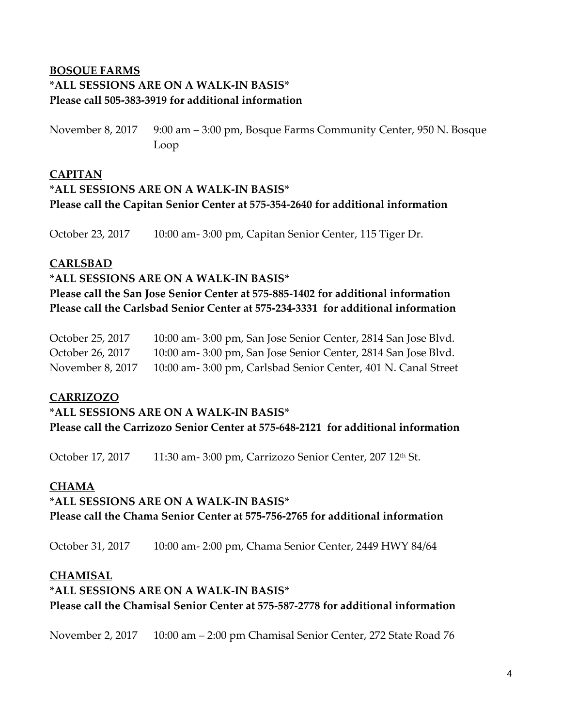# **BOSQUE FARMS \*ALL SESSIONS ARE ON A WALK-IN BASIS\* Please call 505-383-3919 for additional information**

November 8, 2017 9:00 am – 3:00 pm, Bosque Farms Community Center, 950 N. Bosque Loop

### **CAPITAN**

# **\*ALL SESSIONS ARE ON A WALK-IN BASIS\* Please call the Capitan Senior Center at 575-354-2640 for additional information**

October 23, 2017 10:00 am- 3:00 pm, Capitan Senior Center, 115 Tiger Dr.

### **CARLSBAD**

### **\*ALL SESSIONS ARE ON A WALK-IN BASIS\***

**Please call the San Jose Senior Center at 575-885-1402 for additional information Please call the Carlsbad Senior Center at 575-234-3331 for additional information**

| October 25, 2017 | 10:00 am-3:00 pm, San Jose Senior Center, 2814 San Jose Blvd.  |
|------------------|----------------------------------------------------------------|
| October 26, 2017 | 10:00 am-3:00 pm, San Jose Senior Center, 2814 San Jose Blvd.  |
| November 8, 2017 | 10:00 am- 3:00 pm, Carlsbad Senior Center, 401 N. Canal Street |

### **CARRIZOZO**

**\*ALL SESSIONS ARE ON A WALK-IN BASIS\* Please call the Carrizozo Senior Center at 575-648-2121 for additional information**

October 17, 2017 11:30 am- 3:00 pm, Carrizozo Senior Center, 207 12<sup>th</sup> St.

### **CHAMA**

# **\*ALL SESSIONS ARE ON A WALK-IN BASIS\* Please call the Chama Senior Center at 575-756-2765 for additional information**

October 31, 2017 10:00 am- 2:00 pm, Chama Senior Center, 2449 HWY 84/64

### **CHAMISAL**

# **\*ALL SESSIONS ARE ON A WALK-IN BASIS\* Please call the Chamisal Senior Center at 575-587-2778 for additional information**

November 2, 2017 10:00 am – 2:00 pm Chamisal Senior Center, 272 State Road 76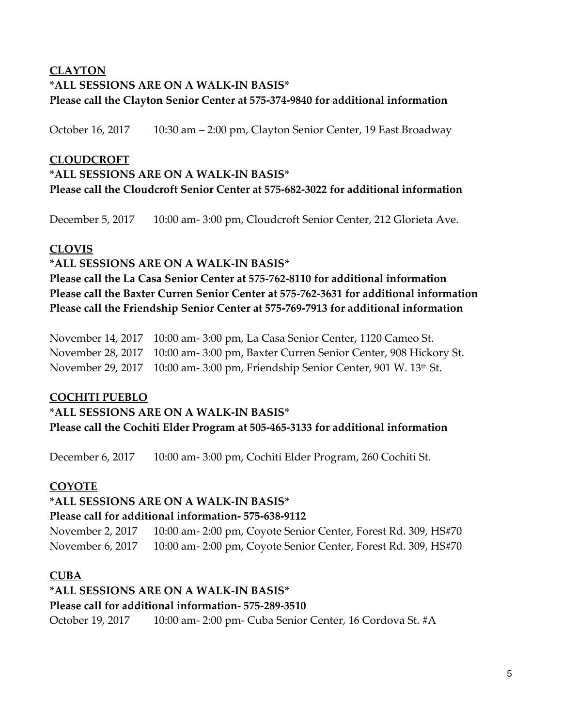# **CLAYTON \*ALL SESSIONS ARE ON A WALK-IN BASIS\* Please call the Clayton Senior Center at 575-374-9840 for additional information**

October 16, 2017 10:30 am – 2:00 pm, Clayton Senior Center, 19 East Broadway

### **CLOUDCROFT**

# **\*ALL SESSIONS ARE ON A WALK-IN BASIS\* Please call the Cloudcroft Senior Center at 575-682-3022 for additional information**

December 5, 2017 10:00 am- 3:00 pm, Cloudcroft Senior Center, 212 Glorieta Ave.

### **CLOVIS**

### **\*ALL SESSIONS ARE ON A WALK-IN BASIS\***

**Please call the La Casa Senior Center at 575-762-8110 for additional information Please call the Baxter Curren Senior Center at 575-762-3631 for additional information Please call the Friendship Senior Center at 575-769-7913 for additional information**

November 14, 2017 10:00 am- 3:00 pm, La Casa Senior Center, 1120 Cameo St. November 28, 2017 10:00 am- 3:00 pm, Baxter Curren Senior Center, 908 Hickory St. November 29, 2017 10:00 am- 3:00 pm, Friendship Senior Center, 901 W. 13<sup>th</sup> St.

### **COCHITI PUEBLO**

# **\*ALL SESSIONS ARE ON A WALK-IN BASIS\* Please call the Cochiti Elder Program at 505-465-3133 for additional information**

December 6, 2017 10:00 am- 3:00 pm, Cochiti Elder Program, 260 Cochiti St.

# **COYOTE**

### **\*ALL SESSIONS ARE ON A WALK-IN BASIS\* Please call for additional information- 575-638-9112**

November 2, 2017 10:00 am- 2:00 pm, Coyote Senior Center, Forest Rd. 309, HS#70 November 6, 2017 10:00 am- 2:00 pm, Coyote Senior Center, Forest Rd. 309, HS#70

### **CUBA**

# **\*ALL SESSIONS ARE ON A WALK-IN BASIS\***

### **Please call for additional information- 575-289-3510**

October 19, 2017 10:00 am- 2:00 pm- Cuba Senior Center, 16 Cordova St. #A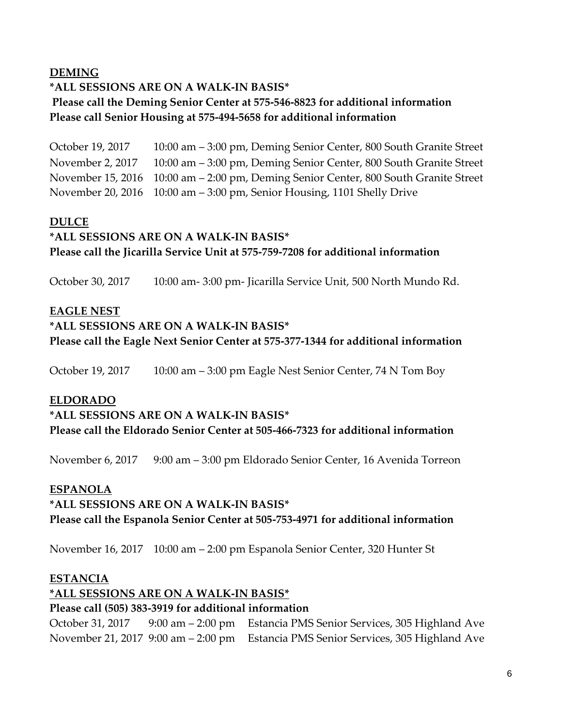### **DEMING**

### **\*ALL SESSIONS ARE ON A WALK-IN BASIS\***

### **Please call the Deming Senior Center at 575-546-8823 for additional information Please call Senior Housing at 575-494-5658 for additional information**

October 19, 2017 10:00 am – 3:00 pm, Deming Senior Center, 800 South Granite Street November 2, 2017 10:00 am – 3:00 pm, Deming Senior Center, 800 South Granite Street November 15, 2016 10:00 am – 2:00 pm, Deming Senior Center, 800 South Granite Street November 20, 2016 10:00 am – 3:00 pm, Senior Housing, 1101 Shelly Drive

### **DULCE**

# **\*ALL SESSIONS ARE ON A WALK-IN BASIS\* Please call the Jicarilla Service Unit at 575-759-7208 for additional information**

October 30, 2017 10:00 am- 3:00 pm- Jicarilla Service Unit, 500 North Mundo Rd.

### **EAGLE NEST**

### **\*ALL SESSIONS ARE ON A WALK-IN BASIS\* Please call the Eagle Next Senior Center at 575-377-1344 for additional information**

October 19, 2017 10:00 am – 3:00 pm Eagle Nest Senior Center, 74 N Tom Boy

### **ELDORADO**

### **\*ALL SESSIONS ARE ON A WALK-IN BASIS\* Please call the Eldorado Senior Center at 505-466-7323 for additional information**

November 6, 2017 9:00 am – 3:00 pm Eldorado Senior Center, 16 Avenida Torreon

### **ESPANOLA**

# **\*ALL SESSIONS ARE ON A WALK-IN BASIS\***

### **Please call the Espanola Senior Center at 505-753-4971 for additional information**

November 16, 2017 10:00 am – 2:00 pm Espanola Senior Center, 320 Hunter St

### **ESTANCIA**

### **\*ALL SESSIONS ARE ON A WALK-IN BASIS\***

### **Please call (505) 383-3919 for additional information**

October 31, 2017 9:00 am – 2:00 pm Estancia PMS Senior Services, 305 Highland Ave November 21, 2017 9:00 am – 2:00 pm Estancia PMS Senior Services, 305 Highland Ave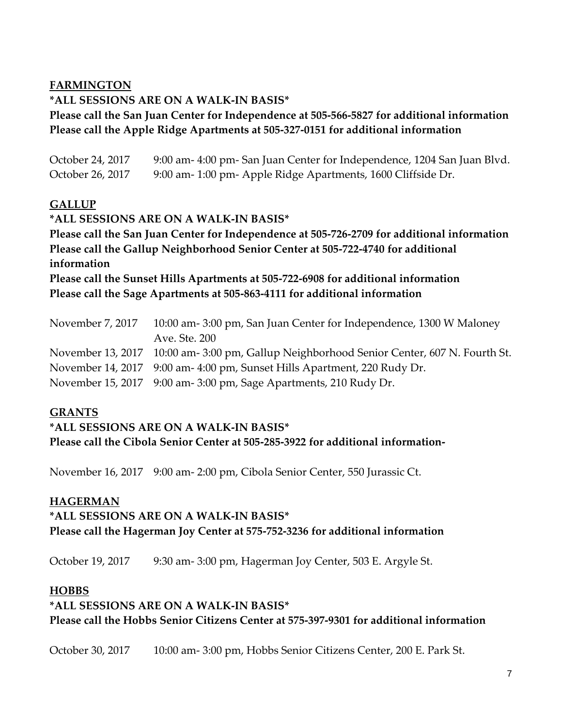### **FARMINGTON**

### **\*ALL SESSIONS ARE ON A WALK-IN BASIS\***

### **Please call the San Juan Center for Independence at 505-566-5827 for additional information Please call the Apple Ridge Apartments at 505-327-0151 for additional information**

| October 24, 2017 | 9:00 am- 4:00 pm- San Juan Center for Independence, 1204 San Juan Blvd.                     |
|------------------|---------------------------------------------------------------------------------------------|
| October 26, 2017 | 9:00 am- 1:00 pm- Apple Ridge Apartments, 1600 Cliffside Dr.                                |
| <b>GALLUP</b>    |                                                                                             |
|                  | *ALL SESSIONS ARE ON A WALK-IN BASIS*                                                       |
|                  | Please call the San Juan Center for Independence at 505-726-2709 for additional information |
|                  | Please call the Gallup Neighborhood Senior Center at 505-722-4740 for additional            |
| information      |                                                                                             |
|                  | Please call the Sunset Hills Apartments at 505-722-6908 for additional information          |
|                  |                                                                                             |

**Please call the Sage Apartments at 505-863-4111 for additional information**

| November 7, 2017 | 10:00 am-3:00 pm, San Juan Center for Independence, 1300 W Maloney                        |
|------------------|-------------------------------------------------------------------------------------------|
|                  | Ave. Ste. 200                                                                             |
|                  | November 13, 2017 10:00 am- 3:00 pm, Gallup Neighborhood Senior Center, 607 N. Fourth St. |
|                  | November 14, 2017 9:00 am- 4:00 pm, Sunset Hills Apartment, 220 Rudy Dr.                  |
|                  | November 15, 2017 9:00 am- 3:00 pm, Sage Apartments, 210 Rudy Dr.                         |

### **GRANTS**

#### **\*ALL SESSIONS ARE ON A WALK-IN BASIS\***

**Please call the Cibola Senior Center at 505-285-3922 for additional information-**

November 16, 2017 9:00 am- 2:00 pm, Cibola Senior Center, 550 Jurassic Ct.

#### **HAGERMAN**

# **\*ALL SESSIONS ARE ON A WALK-IN BASIS\* Please call the Hagerman Joy Center at 575-752-3236 for additional information**

October 19, 2017 9:30 am- 3:00 pm, Hagerman Joy Center, 503 E. Argyle St.

### **HOBBS**

# **\*ALL SESSIONS ARE ON A WALK-IN BASIS\* Please call the Hobbs Senior Citizens Center at 575-397-9301 for additional information**

October 30, 2017 10:00 am- 3:00 pm, Hobbs Senior Citizens Center, 200 E. Park St.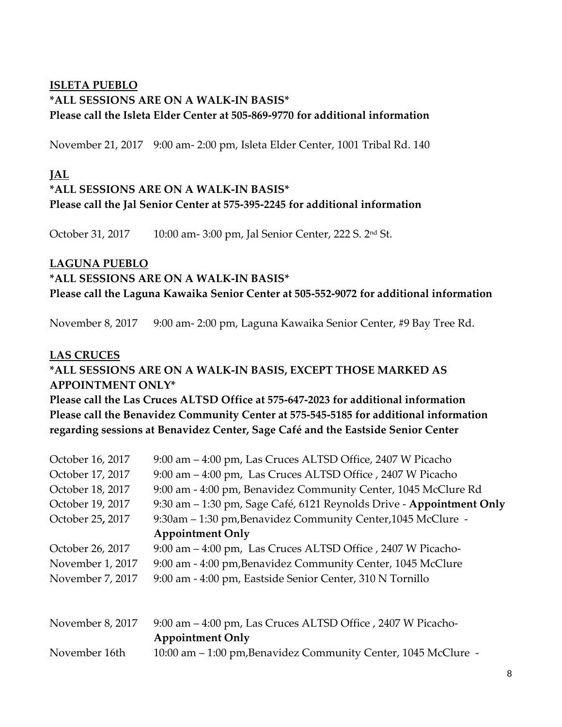### **ISLETA PUEBLO \*ALL SESSIONS ARE ON A WALK-IN BASIS\* Please call the Isleta Elder Center at 505-869-9770 for additional information**

November 21, 2017 9:00 am- 2:00 pm, Isleta Elder Center, 1001 Tribal Rd. 140

# **JAL**

### **\*ALL SESSIONS ARE ON A WALK-IN BASIS\***

### **Please call the Jal Senior Center at 575-395-2245 for additional information**

October 31, 2017 10:00 am- 3:00 pm, Jal Senior Center, 222 S. 2nd St.

### **LAGUNA PUEBLO**

#### **\*ALL SESSIONS ARE ON A WALK-IN BASIS\***

**Please call the Laguna Kawaika Senior Center at 505-552-9072 for additional information**

November 8, 2017 9:00 am- 2:00 pm, Laguna Kawaika Senior Center, #9 Bay Tree Rd.

### **LAS CRUCES**

### **\*ALL SESSIONS ARE ON A WALK-IN BASIS, EXCEPT THOSE MARKED AS APPOINTMENT ONLY\***

**Please call the Las Cruces ALTSD Office at 575-647-2023 for additional information Please call the Benavidez Community Center at 575-545-5185 for additional information regarding sessions at Benavidez Center, Sage Café and the Eastside Senior Center**

| October 16, 2017 | 9:00 am - 4:00 pm, Las Cruces ALTSD Office, 2407 W Picacho           |
|------------------|----------------------------------------------------------------------|
| October 17, 2017 | 9:00 am - 4:00 pm, Las Cruces ALTSD Office , 2407 W Picacho          |
| October 18, 2017 | 9:00 am - 4:00 pm, Benavidez Community Center, 1045 McClure Rd       |
| October 19, 2017 | 9:30 am - 1:30 pm, Sage Café, 6121 Reynolds Drive - Appointment Only |
| October 25, 2017 | 9:30am - 1:30 pm, Benavidez Community Center, 1045 McClure -         |
|                  | <b>Appointment Only</b>                                              |
| October 26, 2017 | 9:00 am – 4:00 pm, Las Cruces ALTSD Office, 2407 W Picacho-          |
| November 1, 2017 | 9:00 am - 4:00 pm, Benavidez Community Center, 1045 McClure          |
| November 7, 2017 | 9:00 am - 4:00 pm, Eastside Senior Center, 310 N Tornillo            |
|                  |                                                                      |
| November 8, 2017 | 9:00 am – 4:00 pm, Las Cruces ALTSD Office, 2407 W Picacho-          |
|                  | <b>Appointment Only</b>                                              |
| November 16th    | 10:00 am - 1:00 pm, Benavidez Community Center, 1045 McClure -       |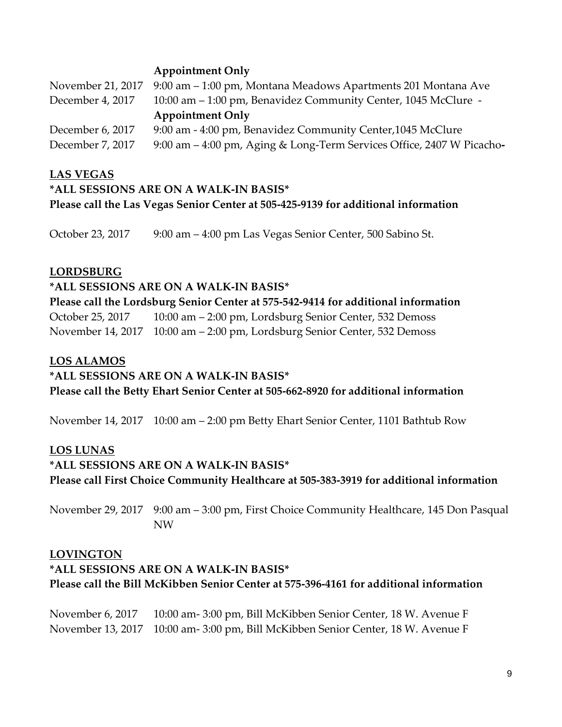### **Appointment Only**

|                  | November 21, 2017 9:00 am - 1:00 pm, Montana Meadows Apartments 201 Montana Ave |
|------------------|---------------------------------------------------------------------------------|
| December 4, 2017 | 10:00 am – 1:00 pm, Benavidez Community Center, 1045 McClure -                  |
|                  | <b>Appointment Only</b>                                                         |
| December 6, 2017 | 9:00 am - 4:00 pm, Benavidez Community Center, 1045 McClure                     |
| December 7, 2017 | 9:00 am - 4:00 pm, Aging & Long-Term Services Office, 2407 W Picacho-           |

#### **LAS VEGAS**

### **\*ALL SESSIONS ARE ON A WALK-IN BASIS\* Please call the Las Vegas Senior Center at 505-425-9139 for additional information**

October 23, 2017 9:00 am – 4:00 pm Las Vegas Senior Center, 500 Sabino St.

#### **LORDSBURG**

**\*ALL SESSIONS ARE ON A WALK-IN BASIS\* Please call the Lordsburg Senior Center at 575-542-9414 for additional information** October 25, 2017 10:00 am – 2:00 pm, Lordsburg Senior Center, 532 Demoss November 14, 2017 10:00 am – 2:00 pm, Lordsburg Senior Center, 532 Demoss

### **LOS ALAMOS**

### **\*ALL SESSIONS ARE ON A WALK-IN BASIS\***

**Please call the Betty Ehart Senior Center at 505-662-8920 for additional information**

November 14, 2017 10:00 am – 2:00 pm Betty Ehart Senior Center, 1101 Bathtub Row

### **LOS LUNAS**

# **\*ALL SESSIONS ARE ON A WALK-IN BASIS\* Please call First Choice Community Healthcare at 505-383-3919 for additional information**

November 29, 2017 9:00 am – 3:00 pm, First Choice Community Healthcare, 145 Don Pasqual NW

### **LOVINGTON**

# **\*ALL SESSIONS ARE ON A WALK-IN BASIS\* Please call the Bill McKibben Senior Center at 575-396-4161 for additional information**

November 6, 2017 10:00 am- 3:00 pm, Bill McKibben Senior Center, 18 W. Avenue F November 13, 2017 10:00 am- 3:00 pm, Bill McKibben Senior Center, 18 W. Avenue F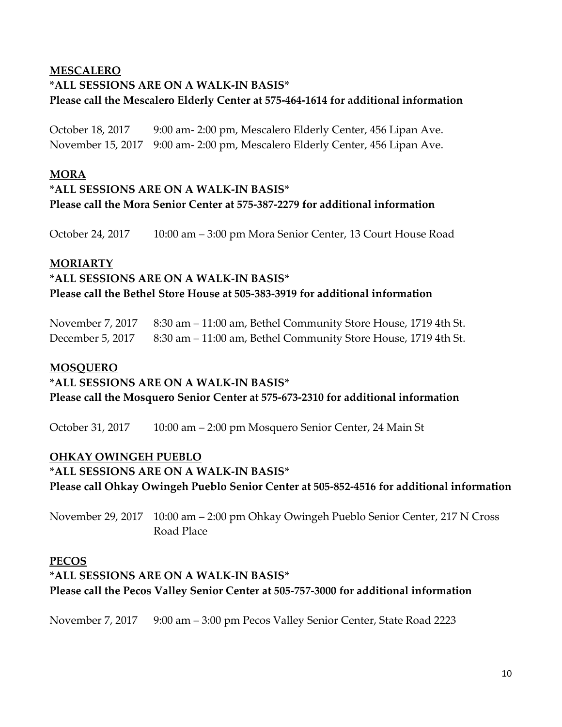# **MESCALERO \*ALL SESSIONS ARE ON A WALK-IN BASIS\* Please call the Mescalero Elderly Center at 575-464-1614 for additional information**

October 18, 2017 9:00 am- 2:00 pm, Mescalero Elderly Center, 456 Lipan Ave. November 15, 2017 9:00 am- 2:00 pm, Mescalero Elderly Center, 456 Lipan Ave.

### **MORA**

# **\*ALL SESSIONS ARE ON A WALK-IN BASIS\* Please call the Mora Senior Center at 575-387-2279 for additional information**

October 24, 2017 10:00 am – 3:00 pm Mora Senior Center, 13 Court House Road

### **MORIARTY**

# **\*ALL SESSIONS ARE ON A WALK-IN BASIS\* Please call the Bethel Store House at 505-383-3919 for additional information**

November 7, 2017 8:30 am – 11:00 am, Bethel Community Store House, 1719 4th St. December 5, 2017 8:30 am – 11:00 am, Bethel Community Store House, 1719 4th St.

### **MOSQUERO**

### **\*ALL SESSIONS ARE ON A WALK-IN BASIS\***

**Please call the Mosquero Senior Center at 575-673-2310 for additional information**

October 31, 2017 10:00 am – 2:00 pm Mosquero Senior Center, 24 Main St

# **OHKAY OWINGEH PUEBLO**

**\*ALL SESSIONS ARE ON A WALK-IN BASIS\* Please call Ohkay Owingeh Pueblo Senior Center at 505-852-4516 for additional information**

November 29, 2017 10:00 am – 2:00 pm Ohkay Owingeh Pueblo Senior Center, 217 N Cross Road Place

### **PECOS**

# **\*ALL SESSIONS ARE ON A WALK-IN BASIS\* Please call the Pecos Valley Senior Center at 505-757-3000 for additional information**

November 7, 2017 9:00 am – 3:00 pm Pecos Valley Senior Center, State Road 2223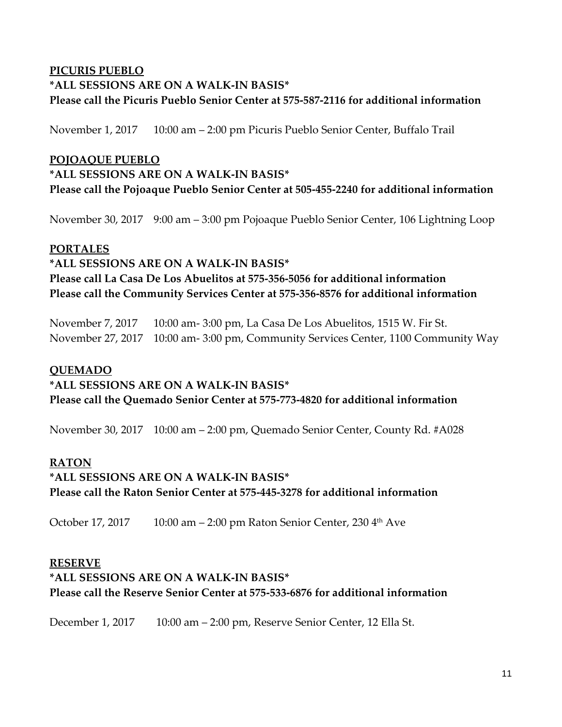# **PICURIS PUEBLO \*ALL SESSIONS ARE ON A WALK-IN BASIS\* Please call the Picuris Pueblo Senior Center at 575-587-2116 for additional information**

November 1, 2017 10:00 am – 2:00 pm Picuris Pueblo Senior Center, Buffalo Trail

### **POJOAQUE PUEBLO**

# **\*ALL SESSIONS ARE ON A WALK-IN BASIS\* Please call the Pojoaque Pueblo Senior Center at 505-455-2240 for additional information**

November 30, 2017 9:00 am – 3:00 pm Pojoaque Pueblo Senior Center, 106 Lightning Loop

### **PORTALES**

**\*ALL SESSIONS ARE ON A WALK-IN BASIS\* Please call La Casa De Los Abuelitos at 575-356-5056 for additional information Please call the Community Services Center at 575-356-8576 for additional information**

November 7, 2017 10:00 am- 3:00 pm, La Casa De Los Abuelitos, 1515 W. Fir St. November 27, 2017 10:00 am- 3:00 pm, Community Services Center, 1100 Community Way

### **QUEMADO**

# **\*ALL SESSIONS ARE ON A WALK-IN BASIS\* Please call the Quemado Senior Center at 575-773-4820 for additional information**

November 30, 2017 10:00 am – 2:00 pm, Quemado Senior Center, County Rd. #A028

### **RATON**

# **\*ALL SESSIONS ARE ON A WALK-IN BASIS\* Please call the Raton Senior Center at 575-445-3278 for additional information**

October 17, 2017 10:00 am – 2:00 pm Raton Senior Center, 230 4<sup>th</sup> Ave

### **RESERVE**

### **\*ALL SESSIONS ARE ON A WALK-IN BASIS\* Please call the Reserve Senior Center at 575-533-6876 for additional information**

December 1, 2017 10:00 am – 2:00 pm, Reserve Senior Center, 12 Ella St.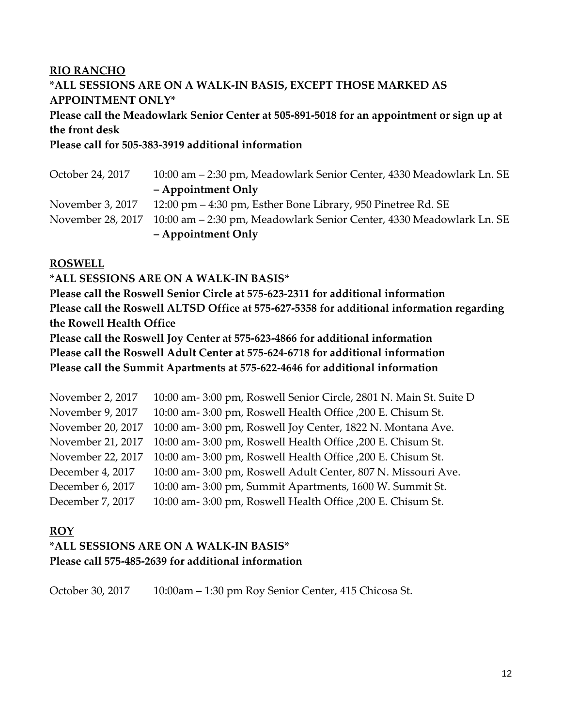# **RIO RANCHO \*ALL SESSIONS ARE ON A WALK-IN BASIS, EXCEPT THOSE MARKED AS APPOINTMENT ONLY\***

# **Please call the Meadowlark Senior Center at 505-891-5018 for an appointment or sign up at the front desk**

**Please call for 505-383-3919 additional information**

| October 24, 2017 | 10:00 am – 2:30 pm, Meadowlark Senior Center, 4330 Meadowlark Ln. SE                   |
|------------------|----------------------------------------------------------------------------------------|
|                  | - Appointment Only                                                                     |
|                  | November 3, 2017 12:00 pm – 4:30 pm, Esther Bone Library, 950 Pinetree Rd. SE          |
|                  | November 28, 2017 10:00 am – 2:30 pm, Meadowlark Senior Center, 4330 Meadowlark Ln. SE |
|                  | - Appointment Only                                                                     |

### **ROSWELL**

### **\*ALL SESSIONS ARE ON A WALK-IN BASIS\***

**Please call the Roswell Senior Circle at 575-623-2311 for additional information Please call the Roswell ALTSD Office at 575-627-5358 for additional information regarding the Rowell Health Office**

**Please call the Roswell Joy Center at 575-623-4866 for additional information Please call the Roswell Adult Center at 575-624-6718 for additional information Please call the Summit Apartments at 575-622-4646 for additional information**

| November 2, 2017  | 10:00 am- 3:00 pm, Roswell Senior Circle, 2801 N. Main St. Suite D |
|-------------------|--------------------------------------------------------------------|
| November 9, 2017  | 10:00 am- 3:00 pm, Roswell Health Office , 200 E. Chisum St.       |
| November 20, 2017 | 10:00 am-3:00 pm, Roswell Joy Center, 1822 N. Montana Ave.         |
| November 21, 2017 | 10:00 am- 3:00 pm, Roswell Health Office , 200 E. Chisum St.       |
| November 22, 2017 | 10:00 am- 3:00 pm, Roswell Health Office , 200 E. Chisum St.       |
| December 4, 2017  | 10:00 am- 3:00 pm, Roswell Adult Center, 807 N. Missouri Ave.      |
| December 6, 2017  | 10:00 am- 3:00 pm, Summit Apartments, 1600 W. Summit St.           |
| December 7, 2017  | 10:00 am- 3:00 pm, Roswell Health Office , 200 E. Chisum St.       |

### **ROY**

# **\*ALL SESSIONS ARE ON A WALK-IN BASIS\* Please call 575-485-2639 for additional information**

October 30, 2017 10:00am – 1:30 pm Roy Senior Center, 415 Chicosa St.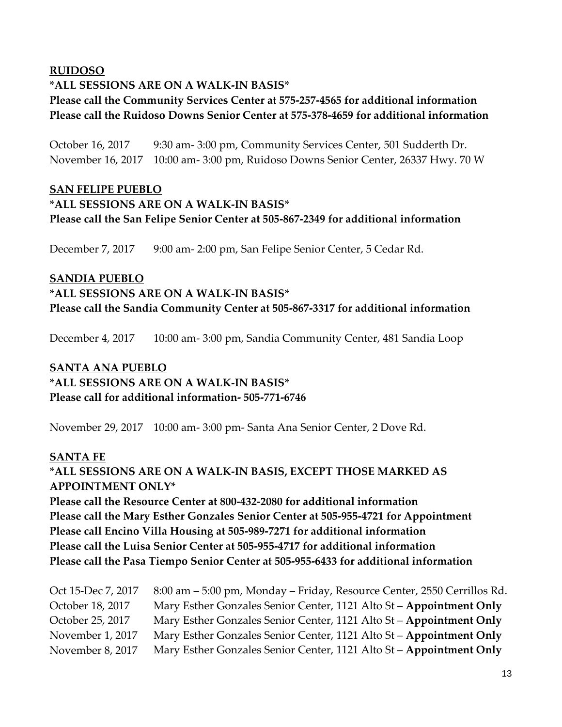### **RUIDOSO**

### **\*ALL SESSIONS ARE ON A WALK-IN BASIS\***

# **Please call the Community Services Center at 575-257-4565 for additional information Please call the Ruidoso Downs Senior Center at 575-378-4659 for additional information**

October 16, 2017 9:30 am- 3:00 pm, Community Services Center, 501 Sudderth Dr. November 16, 2017 10:00 am- 3:00 pm, Ruidoso Downs Senior Center, 26337 Hwy. 70 W

### **SAN FELIPE PUEBLO**

# **\*ALL SESSIONS ARE ON A WALK-IN BASIS\* Please call the San Felipe Senior Center at 505-867-2349 for additional information**

December 7, 2017 9:00 am- 2:00 pm, San Felipe Senior Center, 5 Cedar Rd.

# **SANDIA PUEBLO \*ALL SESSIONS ARE ON A WALK-IN BASIS\* Please call the Sandia Community Center at 505-867-3317 for additional information**

December 4, 2017 10:00 am- 3:00 pm, Sandia Community Center, 481 Sandia Loop

# **SANTA ANA PUEBLO**

**\*ALL SESSIONS ARE ON A WALK-IN BASIS\* Please call for additional information- 505-771-6746**

November 29, 2017 10:00 am- 3:00 pm- Santa Ana Senior Center, 2 Dove Rd.

### **SANTA FE**

### **\*ALL SESSIONS ARE ON A WALK-IN BASIS, EXCEPT THOSE MARKED AS APPOINTMENT ONLY\***

**Please call the Resource Center at 800-432-2080 for additional information Please call the Mary Esther Gonzales Senior Center at 505-955-4721 for Appointment Please call Encino Villa Housing at 505-989-7271 for additional information Please call the Luisa Senior Center at 505-955-4717 for additional information Please call the Pasa Tiempo Senior Center at 505-955-6433 for additional information**

| Oct 15-Dec 7, 2017 | 8:00 am - 5:00 pm, Monday - Friday, Resource Center, 2550 Cerrillos Rd. |
|--------------------|-------------------------------------------------------------------------|
| October 18, 2017   | Mary Esther Gonzales Senior Center, 1121 Alto St - Appointment Only     |
| October 25, 2017   | Mary Esther Gonzales Senior Center, 1121 Alto St - Appointment Only     |
| November 1, 2017   | Mary Esther Gonzales Senior Center, 1121 Alto St - Appointment Only     |
| November 8, 2017   | Mary Esther Gonzales Senior Center, 1121 Alto St - Appointment Only     |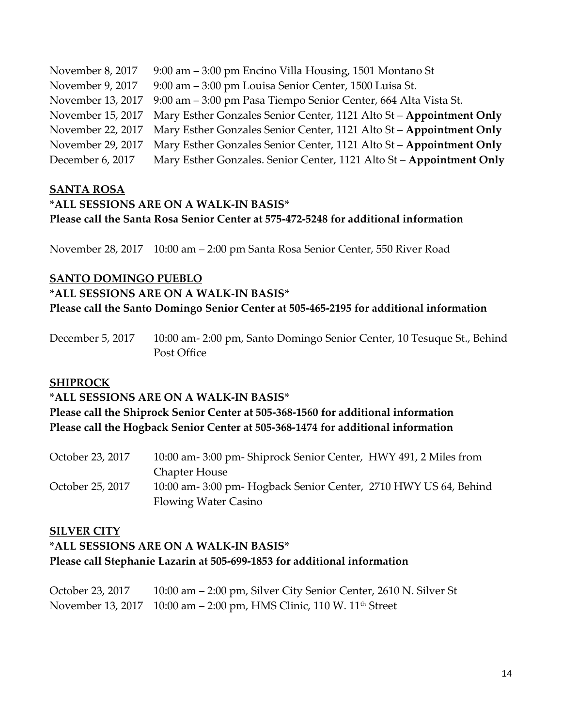| November 8, 2017  | 9:00 am – 3:00 pm Encino Villa Housing, 1501 Montano St                               |
|-------------------|---------------------------------------------------------------------------------------|
| November 9, 2017  | 9:00 am - 3:00 pm Louisa Senior Center, 1500 Luisa St.                                |
| November 13, 2017 | 9:00 am – 3:00 pm Pasa Tiempo Senior Center, 664 Alta Vista St.                       |
|                   | November 15, 2017 Mary Esther Gonzales Senior Center, 1121 Alto St – Appointment Only |
|                   | November 22, 2017 Mary Esther Gonzales Senior Center, 1121 Alto St – Appointment Only |
| November 29, 2017 | Mary Esther Gonzales Senior Center, 1121 Alto St - Appointment Only                   |
| December 6, 2017  | Mary Esther Gonzales. Senior Center, 1121 Alto St - Appointment Only                  |

### **SANTA ROSA**

### **\*ALL SESSIONS ARE ON A WALK-IN BASIS\* Please call the Santa Rosa Senior Center at 575-472-5248 for additional information**

November 28, 2017 10:00 am – 2:00 pm Santa Rosa Senior Center, 550 River Road

#### **SANTO DOMINGO PUEBLO**

#### **\*ALL SESSIONS ARE ON A WALK-IN BASIS\***

**Please call the Santo Domingo Senior Center at 505-465-2195 for additional information**

December 5, 2017 10:00 am- 2:00 pm, Santo Domingo Senior Center, 10 Tesuque St., Behind Post Office

### **SHIPROCK**

#### **\*ALL SESSIONS ARE ON A WALK-IN BASIS\***

**Please call the Shiprock Senior Center at 505-368-1560 for additional information Please call the Hogback Senior Center at 505-368-1474 for additional information**

| October 23, 2017 | 10:00 am-3:00 pm- Shiprock Senior Center, HWY 491, 2 Miles from |
|------------------|-----------------------------------------------------------------|
|                  | <b>Chapter House</b>                                            |
| October 25, 2017 | 10:00 am-3:00 pm- Hogback Senior Center, 2710 HWY US 64, Behind |
|                  | <b>Flowing Water Casino</b>                                     |

#### **SILVER CITY**

### **\*ALL SESSIONS ARE ON A WALK-IN BASIS\* Please call Stephanie Lazarin at 505-699-1853 for additional information**

October 23, 2017 10:00 am – 2:00 pm, Silver City Senior Center, 2610 N. Silver St November 13, 2017 10:00 am - 2:00 pm, HMS Clinic, 110 W. 11<sup>th</sup> Street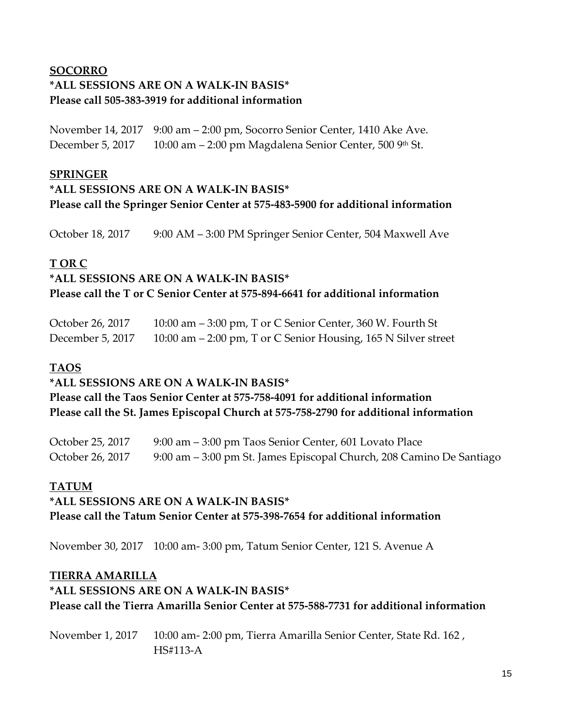# **SOCORRO \*ALL SESSIONS ARE ON A WALK-IN BASIS\* Please call 505-383-3919 for additional information**

November 14, 2017 9:00 am – 2:00 pm, Socorro Senior Center, 1410 Ake Ave. December 5, 2017 10:00 am – 2:00 pm Magdalena Senior Center, 500 9th St.

### **SPRINGER**

### **\*ALL SESSIONS ARE ON A WALK-IN BASIS\* Please call the Springer Senior Center at 575-483-5900 for additional information**

October 18, 2017 9:00 AM – 3:00 PM Springer Senior Center, 504 Maxwell Ave

### **T OR C**

# **\*ALL SESSIONS ARE ON A WALK-IN BASIS\***

**Please call the T or C Senior Center at 575-894-6641 for additional information**

| October 26, 2017 | 10:00 am $-$ 3:00 pm, T or C Senior Center, 360 W. Fourth St     |
|------------------|------------------------------------------------------------------|
| December 5, 2017 | 10:00 am $-$ 2:00 pm, T or C Senior Housing, 165 N Silver street |

# **TAOS**

### **\*ALL SESSIONS ARE ON A WALK-IN BASIS\***

**Please call the Taos Senior Center at 575-758-4091 for additional information Please call the St. James Episcopal Church at 575-758-2790 for additional information**

October 25, 2017 9:00 am - 3:00 pm Taos Senior Center, 601 Lovato Place October 26, 2017 9:00 am – 3:00 pm St. James Episcopal Church, 208 Camino De Santiago

### **TATUM**

# **\*ALL SESSIONS ARE ON A WALK-IN BASIS\* Please call the Tatum Senior Center at 575-398-7654 for additional information**

November 30, 2017 10:00 am- 3:00 pm, Tatum Senior Center, 121 S. Avenue A

### **TIERRA AMARILLA**

# **\*ALL SESSIONS ARE ON A WALK-IN BASIS\* Please call the Tierra Amarilla Senior Center at 575-588-7731 for additional information**

November 1, 2017 10:00 am- 2:00 pm, Tierra Amarilla Senior Center, State Rd. 162 , HS#113-A